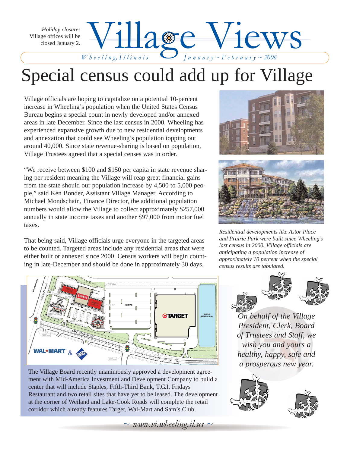Wheeling, Illinois Blanuary~February~2006 *Holiday closure:* Village offices will be closed January 2.

## Special census could add up for Village

Village officials are hoping to capitalize on a potential 10-percent increase in Wheeling's population when the United States Census Bureau begins a special count in newly developed and/or annexed areas in late December. Since the last census in 2000, Wheeling has experienced expansive growth due to new residential developments and annexation that could see Wheeling's population topping out around 40,000. Since state revenue-sharing is based on population, Village Trustees agreed that a special censes was in order.

"We receive between \$100 and \$150 per capita in state revenue sharing per resident meaning the Village will reap great financial gains from the state should our population increase by 4,500 to 5,000 people," said Ken Bonder, Assistant Village Manager. According to Michael Mondschain, Finance Director, the additional population numbers would allow the Village to collect approximately \$257,000 annually in state income taxes and another \$97,000 from motor fuel taxes.

That being said, Village officials urge everyone in the targeted areas to be counted. Targeted areas include any residential areas that were either built or annexed since 2000. Census workers will begin counting in late-December and should be done in approximately 30 days.



The Village Board recently unanimously approved a development agreement with Mid-America Investment and Development Company to build a center that will include Staples, Fifth-Third Bank, T.G.I. Fridays Restaurant and two retail sites that have yet to be leased. The development at the corner of Weiland and Lake-Cook Roads will complete the retail corridor which already features Target, Wal-Mart and Sam's Club.

 $\sim$  *www.vi.wheeling.il.us*  $\sim$ 



*W h e e l i n g, I l l i n o i s J a n u a r y ~ F e b r u a r y ~ 2006*

*Residential developments like Astor Place and Prairie Park were built since Wheeling's last census in 2000. Village officials are anticipating a population increase of approximately 10 percent when the special census results are tabulated.*



*On behalf of the Village President, Clerk, Board of Trustees and Staff, we wish you and yours a healthy, happy, safe and a prosperous new year.* 

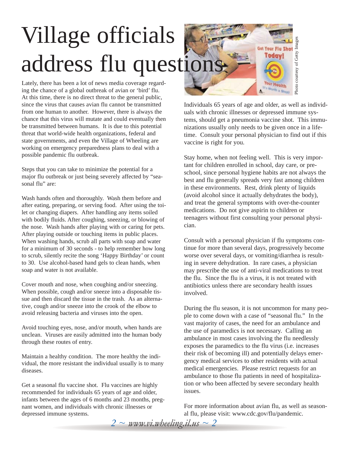# Village officials address flu questions

Lately, there has been a lot of news media coverage regarding the chance of a global outbreak of avian or 'bird' flu. At this time, there is no direct threat to the general public, since the virus that causes avian flu cannot be transmitted from one human to another. However, there is always the chance that this virus will mutate and could eventually then be transmitted between humans. It is due to this potential threat that world-wide health organizations, federal and state governments, and even the Village of Wheeling are working on emergency preparedness plans to deal with a possible pandemic flu outbreak.

Steps that you can take to minimize the potential for a major flu outbreak or just being severely affected by "seasonal flu" are:

Wash hands often and thoroughly. Wash them before and after eating, preparing, or serving food. After using the toilet or changing diapers. After handling any items soiled with bodily fluids. After coughing, sneezing, or blowing of the nose. Wash hands after playing with or caring for pets. After playing outside or touching items in public places. When washing hands, scrub all parts with soap and water for a minimum of 30 seconds - to help remember how long to scrub, silently recite the song 'Happy Birthday' or count to 30. Use alcohol-based hand gels to clean hands, when soap and water is not available.

Cover mouth and nose, when coughing and/or sneezing. When possible, cough and/or sneeze into a disposable tissue and then discard the tissue in the trash. As an alternative, cough and/or sneeze into the crook of the elbow to avoid releasing bacteria and viruses into the open.

Avoid touching eyes, nose, and/or mouth, when hands are unclean. Viruses are easily admitted into the human body through these routes of entry.

Maintain a healthy condition. The more healthy the individual, the more resistant the individual usually is to many diseases.

Get a seasonal flu vaccine shot. Flu vaccines are highly recommended for individuals 65 years of age and older, infants between the ages of 6 months and 23 months, pregnant women, and individuals with chronic illnesses or depressed immune systems.

Individuals 65 years of age and older, as well as individuals with chronic illnesses or depressed immune systems, should get a pneumonia vaccine shot. This immunizations usually only needs to be given once in a lifetime. Consult your personal physician to find out if this vaccine is right for you.

Photo courtesy of Getty Images Photo courtesy of Getty Images

**Get Your Flu Shot** Todav!

our Health

Stay home, when not feeling well. This is very important for children enrolled in school, day care, or preschool, since personal hygiene habits are not always the best and flu generally spreads very fast among children in these environments. Rest, drink plenty of liquids (avoid alcohol since it actually dehydrates the body), and treat the general symptoms with over-the-counter medications. Do not give aspirin to children or teenagers without first consulting your personal physician.

Consult with a personal physician if flu symptoms continue for more than several days, progressively become worse over several days, or vomiting/diarrhea is resulting in severe dehydration. In rare cases, a physician may prescribe the use of anti-viral medications to treat the flu. Since the flu is a virus, it is not treated with antibiotics unless there are secondary health issues involved.

During the flu season, it is not uncommon for many people to come down with a case of "seasonal flu." In the vast majority of cases, the need for an ambulance and the use of paramedics is not necessary. Calling an ambulance in most cases involving the flu needlessly exposes the paramedics to the flu virus (i.e. increases their risk of becoming ill) and potentially delays emergency medical services to other residents with actual medical emergencies. Please restrict requests for an ambulance to those flu patients in need of hospitalization or who been affected by severe secondary health issues.

For more information about avian flu, as well as seasonal flu, please visit: www.cdc.gov/flu/pandemic.

*2 ~ www.vi.wheeling.il.us ~ 2*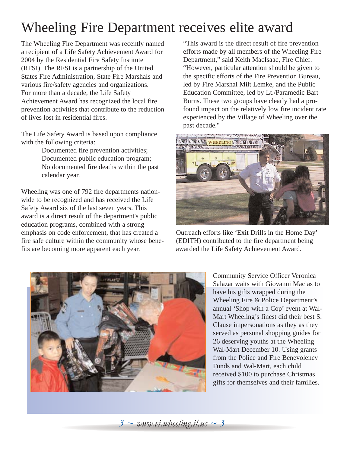## Wheeling Fire Department receives elite award

The Wheeling Fire Department was recently named a recipient of a Life Safety Achievement Award for 2004 by the Residential Fire Safety Institute (RFSI). The RFSI is a partnership of the United States Fire Administration, State Fire Marshals and various fire/safety agencies and organizations. For more than a decade, the Life Safety Achievement Award has recognized the local fire prevention activities that contribute to the reduction of lives lost in residential fires.

The Life Safety Award is based upon compliance with the following criteria:

> Documented fire prevention activities; Documented public education program; No documented fire deaths within the past calendar year.

Wheeling was one of 792 fire departments nationwide to be recognized and has received the Life Safety Award six of the last seven years. This award is a direct result of the department's public education programs, combined with a strong emphasis on code enforcement, that has created a fire safe culture within the community whose benefits are becoming more apparent each year.

"This award is the direct result of fire prevention efforts made by all members of the Wheeling Fire Department," said Keith MacIsaac, Fire Chief. "However, particular attention should be given to the specific efforts of the Fire Prevention Bureau, led by Fire Marshal Milt Lemke, and the Public Education Committee, led by Lt./Paramedic Bart Burns. These two groups have clearly had a profound impact on the relatively low fire incident rate experienced by the Village of Wheeling over the past decade."



Outreach efforts like 'Exit Drills in the Home Day' (EDITH) contributed to the fire department being awarded the Life Safety Achievement Award.



Community Service Officer Veronica Salazar waits with Giovanni Macias to have his gifts wrapped during the Wheeling Fire & Police Department's annual 'Shop with a Cop' event at Wal-Mart Wheeling's finest did their best S. Clause impersonations as they as they served as personal shopping guides for 26 deserving youths at the Wheeling Wal-Mart December 10. Using grants from the Police and Fire Benevolency Funds and Wal-Mart, each child received \$100 to purchase Christmas gifts for themselves and their families.

*3 ~ www.vi.wheeling.il.us ~ 3*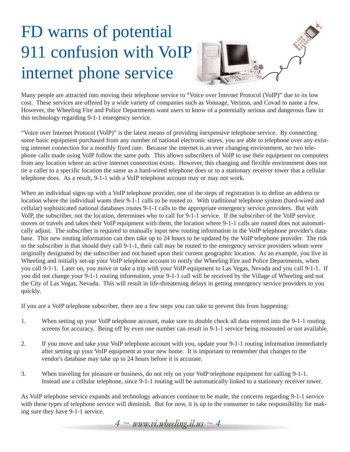## FD warns of potential 911 confusion with VoIP internet phone service



Many people are attracted into moving their telephone service to "Voice over Internet Protocol (VoIP)" due to its low cost. These services are offered by a wide variety of companies such as Vonnage, Verizon, and Covad to name a few. However, the Wheeling Fire and Police Departments want users to know of a potentially serious and dangerous flaw in this technology regarding 9-1-1 emergency service.

"Voice over Internet Protocol (VoIP)" is the latest means of providing inexpensive telephone service. By connecting some basic equipment purchased from any number of national electronic stores, you are able to telephone over any existing internet connection for a monthly fixed rate. Because the internet is an ever changing environment, no two telephone calls made using VoIP follow the same path. This allows subscribers of VoIP to use their equipment on computers from any location where an active internet connection exists. However, this changing and flexible environment does not tie a caller to a specific location the same as a hard-wired telephone does or to a stationary receiver tower that a cellular telephone does. As a result, 9-1-1 with a VoIP telephone account may or may not work.

When an individual signs up with a VoIP telephone provider, one of the steps of registration is to define an address or location where the individual wants their 9-1-1 calls to be routed to. With traditional telephone system (hard-wired and cellular) sophisticated national databases routes 9-1-1 calls to the appropriate emergency service providers. But with VoIP, the subscriber, not the location, determines who to call for 9-1-1 service. If the subscriber of the VoIP service moves or travels and takes their VoIP equipment with them, the location where 9-1-1 calls are routed does not automatically adjust. The subscriber is required to manually input new routing information in the VoIP telephone provider's database. This new routing information can then take up to 24 hours to be updated by the VoIP telephone provider. The risk to the subscriber is that should they call 9-1-1, their call may be routed to the emergency service providers whom were originally designated by the subscriber and not based upon their current geographic location. As an example, you live in Wheeling and initially set-up your VoIP telephone account to notify the Wheeling Fire and Police Departments, when you call 9-1-1. Later on, you move or take a trip with your VoIP equipment to Las Vegas, Nevada and you call 9-1-1. If you did not change your 9-1-1 routing information, your 9-1-1 call will be received by the Village of Wheeling and not the City of Las Vegas, Nevada. This will result in life-threatening delays in getting emergency service providers to you quickly.

If you are a VoIP telephone subscriber, there are a few steps you can take to prevent this from happening:

- 1. When setting up your VoIP telephone account, make sure to double check all data entered into the 9-1-1 routing screens for accuracy. Being off by even one number can result in 9-1-1 service being misrouted or not available.
- 2. If you move and take your VoIP telephone account with you, update your 9-1-1 routing information immediately after setting up your VoIP equipment at your new home. It is important to remember that changes to the vendor's database may take up to 24 hours before it is accurate.
- 3. When traveling for pleasure or business, do not rely on your VoIP telephone equipment for calling 9-1-1. Instead use a cellular telephone, since 9-1-1 routing will be automatically linked to a stationary receiver tower.

As VoIP telephone service expands and technology advances continue to be made, the concerns regarding 9-1-1 service with these types of telephone service will diminish. But for now, it is up to the consumer to take responsibility for making sure they have 9-1-1 service.

 $4 \sim \text{www.vi.}$ *wheeling.il.us*  $\sim 4$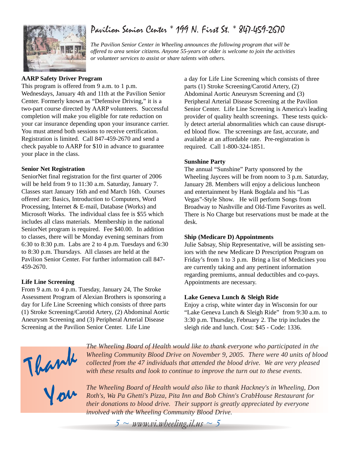## Pavilion Senior Center \* 199 N. First St. \* 847-459-2670



*The Pavilion Senior Center in Wheeling announces the following program that will be offered to area senior citizens. Anyone 55-years or older is welcome to join the activities or volunteer services to assist or share talents with others.*

### **AARP Safety Driver Program**

This program is offered from 9 a.m. to 1 p.m. Wednesdays, January 4th and 11th at the Pavilion Senior Center. Formerly known as "Defensive Driving," it is a two-part course directed by AARP volunteers. Successful completion will make you eligible for rate reduction on your car insurance depending upon your insurance carrier. You must attend both sessions to receive certification. Registration is limited. Call 847-459-2670 and send a check payable to AARP for \$10 in advance to guarantee your place in the class.

### **Senior Net Registration**

SeniorNet final registration for the first quarter of 2006 will be held from 9 to 11:30 a.m. Saturday, January 7. Classes start January 16th and end March 16th. Courses offered are: Basics, Introduction to Computers, Word Processing, Internet & E-mail, Database (Works) and Microsoft Works. The individual class fee is \$55 which includes all class materials. Membership in the national SeniorNet program is required. Fee \$40.00. In addition to classes, there will be Monday evening seminars from 6:30 to 8:30 p.m. Labs are 2 to 4 p.m. Tuesdays and 6:30 to 8:30 p.m. Thursdays. All classes are held at the Pavilion Senior Center. For further information call 847- 459-2670.

#### **Life Line Screening**

From 9 a.m. to 4 p.m. Tuesday, January 24, The Stroke Assessment Program of Alexian Brothers is sponsoring a day for Life Line Screening which consists of three parts (1) Stroke Screening/Carotid Artery, (2) Abdominal Aortic Aneurysm Screening and (3) Peripheral Arterial Disease Screening at the Pavilion Senior Center. Life Line

a day for Life Line Screening which consists of three parts (1) Stroke Screening/Carotid Artery, (2) Abdominal Aortic Aneurysm Screening and (3) Peripheral Arterial Disease Screening at the Pavilion Senior Center. Life Line Screening is America's leading provider of quality health screenings. These tests quickly detect arterial abnormalities which can cause disrupted blood flow. The screenings are fast, accurate, and available at an affordable rate. Pre-registration is required. Call 1-800-324-1851.

### **Sunshine Party**

The annual "Sunshine" Party sponsored by the Wheeling Jaycees will be from noom to 3 p.m. Saturday, January 28. Members will enjoy a delicious luncheon and entertainment by Hank Bogdala and his "Las Vegas"-Style Show. He will perform Songs from Broadway to Nashville and Old-Time Favorites as well. There is No Charge but reservations must be made at the desk.

#### **Ship (Medicare D) Appointments**

Julie Sabsay, Ship Representative, will be assisting seniors with the new Medicare D Prescription Program on Friday's from 1 to 3 p.m. Bring a list of Medicines you are currently taking and any pertinent information regarding premiums, annual deductibles and co-pays. Appointments are necessary.

#### **Lake Geneva Lunch & Sleigh Ride**

Enjoy a crisp, white winter day in Wisconsin for our "Lake Geneva Lunch & Sleigh Ride" from 9:30 a.m. to 3:30 p.m. Thursday, February 2. The trip includes the sleigh ride and lunch. Cost: \$45 - Code: 1336.

Thank

*The Wheeling Board of Health would like to thank everyone who participated in the Wheeling Community Blood Drive on November 9, 2005. There were 40 units of blood collected from the 47 individuals that attended the blood drive. We are very pleased with these results and look to continue to improve the turn out to these events.* 

You

*The Wheeling Board of Health would also like to thank Hackney's in Wheeling, Don Roth's, Wa Pa Ghetti's Pizza, Pita Inn and Bob Chinn's CrabHouse Restaurant for their donations to blood drive. Their support is greatly appreciated by everyone involved with the Wheeling Community Blood Drive.*

 $5 \sim$  *www.vi.wheeling.il.us*  $\sim$  5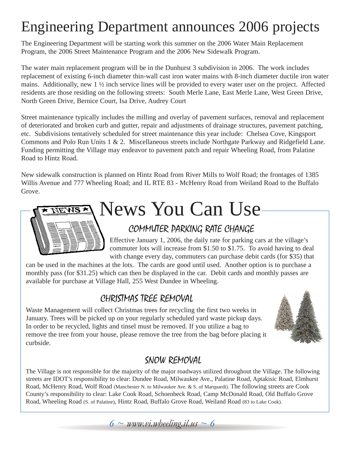## Engineering Department announces 2006 projects

The Engineering Department will be starting work this summer on the 2006 Water Main Replacement Program, the 2006 Street Maintenance Program and the 2006 New Sidewalk Program.

The water main replacement program will be in the Dunhurst 3 subdivision in 2006. The work includes replacement of existing 6-inch diameter thin-wall cast iron water mains with 8-inch diameter ductile iron water mains. Additionally, new 1 ½ inch service lines will be provided to every water user on the project. Affected residents are those residing on the following streets: South Merle Lane, East Merle Lane, West Green Drive, North Green Drive, Bernice Court, Isa Drive, Audrey Court

Street maintenance typically includes the milling and overlay of pavement surfaces, removal and replacement of deteriorated and broken curb and gutter, repair and adjustments of drainage structures, pavement patching, etc. Subdivisions tentatively scheduled for street maintenance this year include: Chelsea Cove, Kingsport Commons and Polo Run Units 1 & 2. Miscellaneous streets include Northgate Parkway and Ridgefield Lane. Funding permitting the Village may endeavor to pavement patch and repair Wheeling Road, from Palatine Road to Hintz Road.

New sidewalk construction is planned on Hintz Road from River Mills to Wolf Road; the frontages of 1385 Willis Avenue and 777 Wheeling Road; and IL RTE 83 - McHenry Road from Weiland Road to the Buffalo Grove.

# News You Can UseENS X

## COMMUTER PARKING RATE CHANGE

Effective January 1, 2006, the daily rate for parking cars at the village's commuter lots will increase from \$1.50 to \$1.75. To avoid having to deal with change every day, commuters can purchase debit cards (for \$35) that

can be used in the machines at the lots. The cards are good until used. Another option is to purchase a monthly pass (for \$31.25) which can then be displayed in the car. Debit cards and monthly passes are available for purchase at Village Hall, 255 West Dundee in Wheeling.

## CHRISTMAS TREE REMOVAL

Waste Management will collect Christmas trees for recycling the first two weeks in January. Trees will be picked up on your regularly scheduled yard waste pickup days. In order to be recycled, lights and tinsel must be removed. If you utilize a bag to remove the tree from your house, please remove the tree from the bag before placing it curbside.



## SNOW REMOVAL

The Village is not responsible for the majority of the major roadways utilized throughout the Village. The following streets are IDOT's responsibility to clear: Dundee Road, Milwaukee Ave., Palatine Road, Aptakisic Road, Elmhurst Road, McHenry Road, Wolf Road (Manchester N. to Milwaukee Ave. & S. of Marquardt). The following streets are Cook County's responsibility to clear: Lake Cook Road, Schoenbeck Road, Camp McDonald Road, Old Buffalo Grove Road, Wheeling Road (S. of Palatine), Hintz Road, Buffalo Grove Road, Weiland Road (83 to Lake Cook).

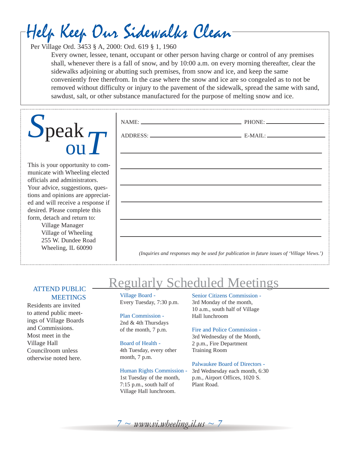## Help Keep Our Sidewalks Clean

Per Village Ord. 3453 § A, 2000: Ord. 619 § 1, 1960

Every owner, lessee, tenant, occupant or other person having charge or control of any premises shall, whenever there is a fall of snow, and by 10:00 a.m. on every morning thereafter, clear the sidewalks adjoining or abutting such premises, from snow and ice, and keep the same conveniently free therefrom. In the case where the snow and ice are so congealed as to not be removed without difficulty or injury to the pavement of the sidewalk, spread the same with sand, sawdust, salt, or other substance manufactured for the purpose of melting snow and ice.

| $S$ peak $T$                                                                                                                                                                                                                                                                                                                                                           | NAME: PHONE:                                                                               |
|------------------------------------------------------------------------------------------------------------------------------------------------------------------------------------------------------------------------------------------------------------------------------------------------------------------------------------------------------------------------|--------------------------------------------------------------------------------------------|
| This is your opportunity to com-<br>municate with Wheeling elected<br>officials and administrators.<br>Your advice, suggestions, ques-<br>tions and opinions are appreciat-<br>ed and will receive a response if<br>desired. Please complete this<br>form, detach and return to:<br>Village Manager<br>Village of Wheeling<br>255 W. Dundee Road<br>Wheeling, IL 60090 | (Inquiries and responses may be used for publication in future issues of 'Village Views.') |

## ATTEND PUBLIC MEETINGS

Residents are invited to attend public meetings of Village Boards and Commissions. Most meet in the Village Hall Councilroom unless otherwise noted here.

## Regularly Scheduled Meetings

Village Board - Every Tuesday, 7:30 p.m.

Plan Commission - 2nd & 4th Thursdays of the month, 7 p.m.

#### Board of Health -

4th Tuesday, every other month, 7 p.m.

### Human Rights Commission -

1st Tuesday of the month, 7:15 p.m., south half of Village Hall lunchroom.

#### Senior Citizens Commission - 3rd Monday of the month, 10 a.m., south half of Village Hall lunchroom

### Fire and Police Commission -

3rd Wednesday of the Month, 2 p.m., Fire Department Training Room

### Palwaukee Board of Directors -

3rd Wednesday each month, 6:30 p.m., Airport Offices, 1020 S. Plant Road.